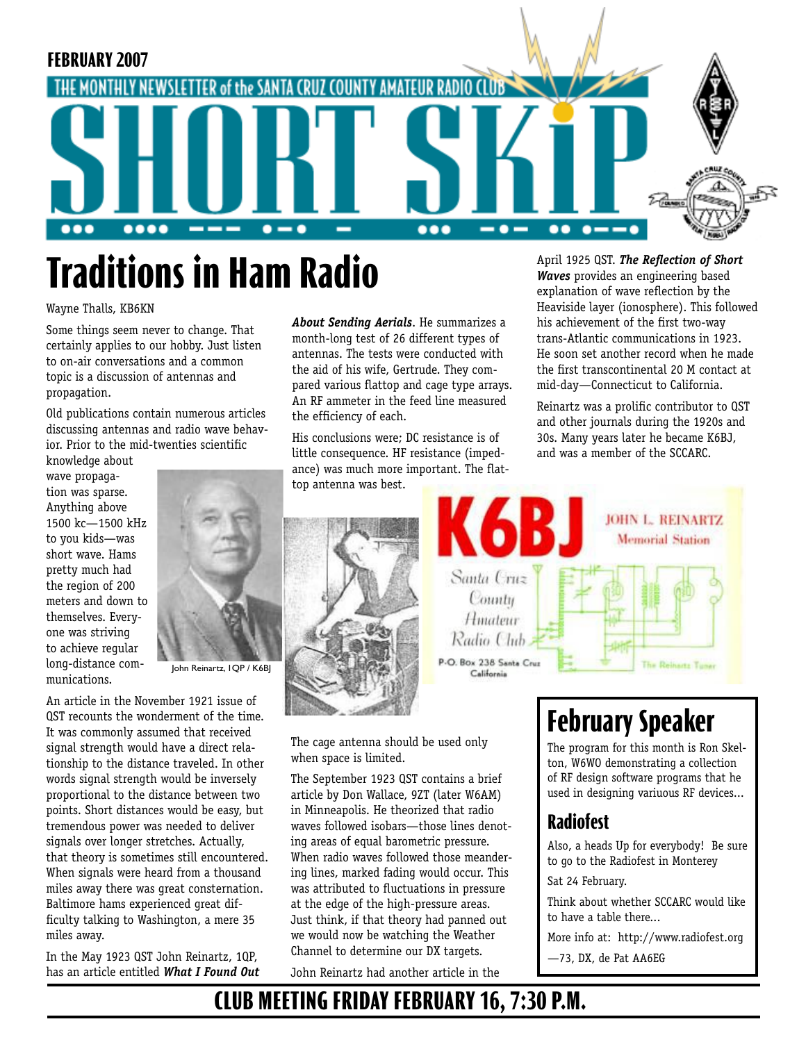

# **Traditions in Ham Radio**

#### Wayne Thalls, KB6KN

Some things seem never to change. That certainly applies to our hobby. Just listen to on-air conversations and a common topic is a discussion of antennas and propagation.

Old publications contain numerous articles discussing antennas and radio wave behavior. Prior to the mid-twenties scientific

knowledge about wave propagation was sparse. Anything above 1500 kc—1500 kHz to you kids—was short wave. Hams pretty much had the region of 200 meters and down to themselves. Everyone was striving to achieve regular long-distance communications.



John Reinartz, 1QP / K6BJ

An article in the November 1921 issue of QST recounts the wonderment of the time. It was commonly assumed that received signal strength would have a direct relationship to the distance traveled. In other words signal strength would be inversely proportional to the distance between two points. Short distances would be easy, but tremendous power was needed to deliver signals over longer stretches. Actually, that theory is sometimes still encountered. When signals were heard from a thousand miles away there was great consternation. Baltimore hams experienced great difficulty talking to Washington, a mere 35 miles away.

In the May 1923 QST John Reinartz, 1QP, has an article entitled *What I Found Out*  *About Sending Aerials*. He summarizes a month-long test of 26 different types of antennas. The tests were conducted with the aid of his wife, Gertrude. They compared various flattop and cage type arrays. An RF ammeter in the feed line measured the efficiency of each.

His conclusions were; DC resistance is of little consequence. HF resistance (impedance) was much more important. The flattop antenna was best.

> Hmateur Radio Chib P.O. Box 238 Santa Cruz

California



30s. Many years later he became K6BJ, and was a member of the SCCARC. **JOHN L. REINARTZ Memorial Station** Santa Cruz County

*Waves* provides an engineering based explanation of wave reflection by the Heaviside layer (ionosphere). This followed his achievement of the first two-way trans-Atlantic communications in 1923. He soon set another record when he made the first transcontinental 20 M contact at mid-day—Connecticut to California. Reinartz was a prolific contributor to QST and other journals during the 1920s and

The cage antenna should be used only when space is limited.

The September 1923 QST contains a brief article by Don Wallace, 9ZT (later W6AM) in Minneapolis. He theorized that radio waves followed isobars—those lines denoting areas of equal barometric pressure. When radio waves followed those meandering lines, marked fading would occur. This was attributed to fluctuations in pressure at the edge of the high-pressure areas. Just think, if that theory had panned out we would now be watching the Weather Channel to determine our DX targets.

John Reinartz had another article in the

### **February Speaker**

The program for this month is Ron Skelton, W6WO demonstrating a collection of RF design software programs that he used in designing variuous RF devices...

The Reinastz Tuner

#### **Radiofest**

Also, a heads Up for everybody! Be sure to go to the Radiofest in Monterey

Sat 24 February.

Think about whether SCCARC would like to have a table there...

More info at: http://www.radiofest.org

—73, DX, de Pat AA6EG

### **CLUB MEETING FRIDAY FEBRUARY 16, 7:30 P.M.**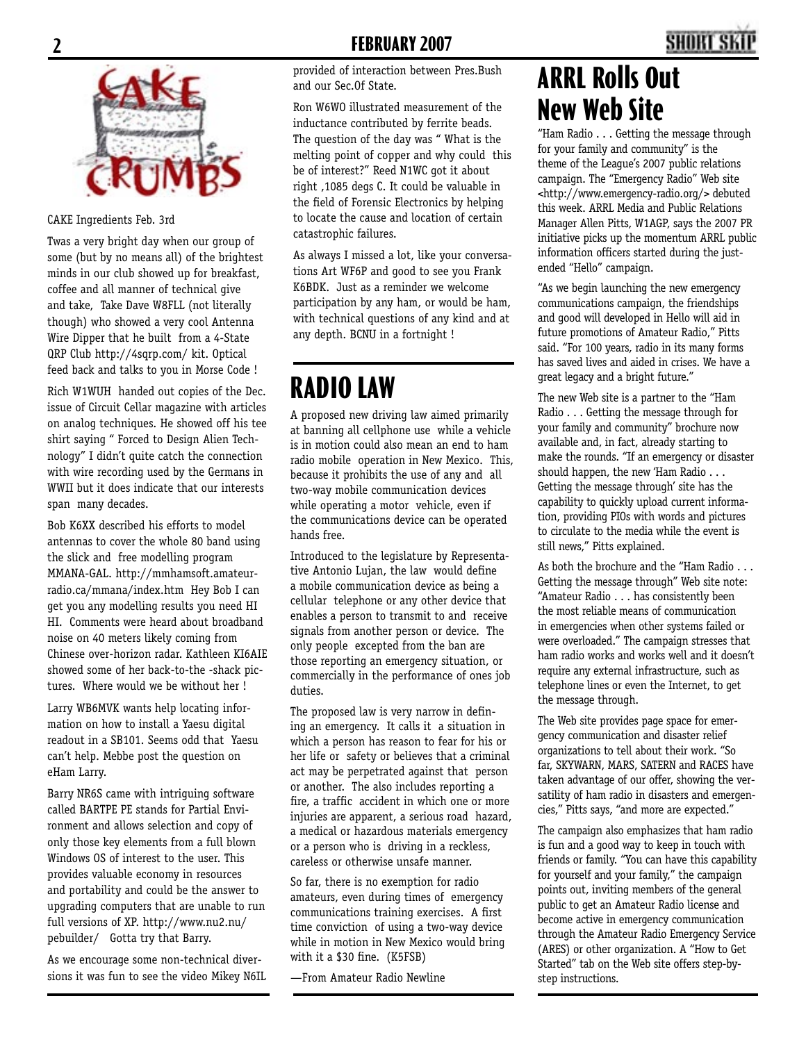

#### CAKE Ingredients Feb. 3rd

Twas a very bright day when our group of some (but by no means all) of the brightest minds in our club showed up for breakfast, coffee and all manner of technical give and take, Take Dave W8FLL (not literally though) who showed a very cool Antenna Wire Dipper that he built from a 4-State QRP Club http://4sqrp.com/ kit. Optical feed back and talks to you in Morse Code !

Rich W1WUH handed out copies of the Dec. issue of Circuit Cellar magazine with articles on analog techniques. He showed off his tee shirt saying " Forced to Design Alien Technology" I didn't quite catch the connection with wire recording used by the Germans in WWII but it does indicate that our interests span many decades.

Bob K6XX described his efforts to model antennas to cover the whole 80 band using the slick and free modelling program MMANA-GAL. http://mmhamsoft.amateurradio.ca/mmana/index.htm Hey Bob I can get you any modelling results you need HI HI. Comments were heard about broadband noise on 40 meters likely coming from Chinese over-horizon radar. Kathleen KI6AIE showed some of her back-to-the -shack pictures. Where would we be without her !

Larry WB6MVK wants help locating information on how to install a Yaesu digital readout in a SB101. Seems odd that Yaesu can't help. Mebbe post the question on eHam Larry.

Barry NR6S came with intriguing software called BARTPE PE stands for Partial Environment and allows selection and copy of only those key elements from a full blown Windows OS of interest to the user. This provides valuable economy in resources and portability and could be the answer to upgrading computers that are unable to run full versions of XP. http://www.nu2.nu/ pebuilder/ Gotta try that Barry.

As we encourage some non-technical diversions it was fun to see the video Mikey N6IL provided of interaction between Pres.Bush and our Sec.Of State.

Ron W6WO illustrated measurement of the inductance contributed by ferrite beads. The question of the day was " What is the melting point of copper and why could this be of interest?" Reed N1WC got it about right ,1085 degs C. It could be valuable in the field of Forensic Electronics by helping to locate the cause and location of certain catastrophic failures.

As always I missed a lot, like your conversations Art WF6P and good to see you Frank K6BDK. Just as a reminder we welcome participation by any ham, or would be ham, with technical questions of any kind and at any depth. BCNU in a fortnight !

### **RADIO LAW**

A proposed new driving law aimed primarily at banning all cellphone use while a vehicle is in motion could also mean an end to ham radio mobile operation in New Mexico. This, because it prohibits the use of any and all two-way mobile communication devices while operating a motor vehicle, even if the communications device can be operated hands free.

Introduced to the legislature by Representative Antonio Lujan, the law would define a mobile communication device as being a cellular telephone or any other device that enables a person to transmit to and receive signals from another person or device. The only people excepted from the ban are those reporting an emergency situation, or commercially in the performance of ones job duties.

The proposed law is very narrow in defining an emergency. It calls it a situation in which a person has reason to fear for his or her life or safety or believes that a criminal act may be perpetrated against that person or another. The also includes reporting a fire, a traffic accident in which one or more injuries are apparent, a serious road hazard, a medical or hazardous materials emergency or a person who is driving in a reckless, careless or otherwise unsafe manner.

So far, there is no exemption for radio amateurs, even during times of emergency communications training exercises. A first time conviction of using a two-way device while in motion in New Mexico would bring with it a \$30 fine. (K5FSB)

—From Amateur Radio Newline

### **ARRL Rolls Out New Web Site**

"Ham Radio . . . Getting the message through for your family and community" is the theme of the League's 2007 public relations campaign. The "Emergency Radio" Web site <http://www.emergency-radio.org/> debuted this week. ARRL Media and Public Relations Manager Allen Pitts, W1AGP, says the 2007 PR initiative picks up the momentum ARRL public information officers started during the justended "Hello" campaign.

"As we begin launching the new emergency communications campaign, the friendships and good will developed in Hello will aid in future promotions of Amateur Radio," Pitts said. "For 100 years, radio in its many forms has saved lives and aided in crises. We have a great legacy and a bright future."

The new Web site is a partner to the "Ham Radio . . . Getting the message through for your family and community" brochure now available and, in fact, already starting to make the rounds. "If an emergency or disaster should happen, the new 'Ham Radio . . . Getting the message through' site has the capability to quickly upload current information, providing PIOs with words and pictures to circulate to the media while the event is still news," Pitts explained.

As both the brochure and the "Ham Radio . . . Getting the message through" Web site note: "Amateur Radio . . . has consistently been the most reliable means of communication in emergencies when other systems failed or were overloaded." The campaign stresses that ham radio works and works well and it doesn't require any external infrastructure, such as telephone lines or even the Internet, to get the message through.

The Web site provides page space for emergency communication and disaster relief organizations to tell about their work. "So far, SKYWARN, MARS, SATERN and RACES have taken advantage of our offer, showing the versatility of ham radio in disasters and emergencies," Pitts says, "and more are expected."

The campaign also emphasizes that ham radio is fun and a good way to keep in touch with friends or family. "You can have this capability for yourself and your family," the campaign points out, inviting members of the general public to get an Amateur Radio license and become active in emergency communication through the Amateur Radio Emergency Service (ARES) or other organization. A "How to Get Started" tab on the Web site offers step-bystep instructions.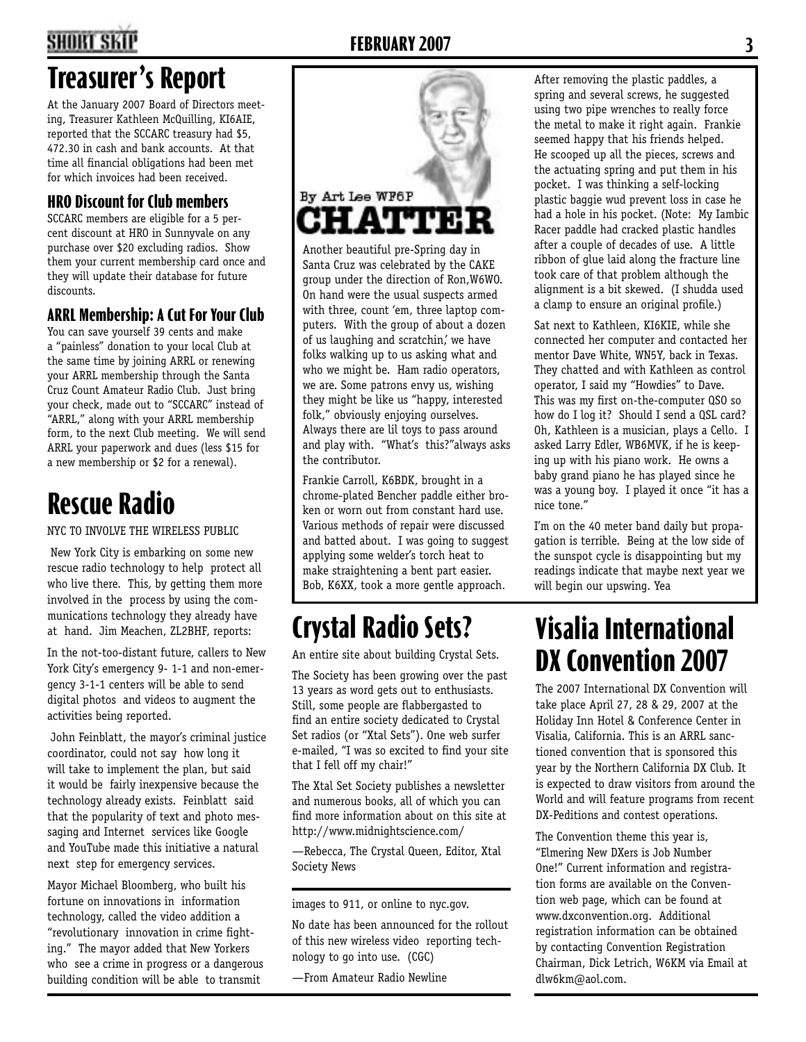#### **2 FEBRUARY 2007 3**

### **Treasurer's Report**

At the January 2007 Board of Directors meeting, Treasurer Kathleen McQuilling, KI6AIE, reported that the SCCARC treasury had \$5, 472.30 in cash and bank accounts. At that time all financial obligations had been met for which invoices had been received.

#### **HRO Discount for Club members**

SCCARC members are eligible for a 5 percent discount at HRO in Sunnyvale on any purchase over \$20 excluding radios. Show them your current membership card once and they will update their database for future discounts.

#### **ARRL Membership: A Cut For Your Club**

You can save yourself 39 cents and make a "painless" donation to your local Club at the same time by joining ARRL or renewing your ARRL membership through the Santa Cruz Count Amateur Radio Club. Just bring your check, made out to "SCCARC" instead of "ARRL," along with your ARRL membership form, to the next Club meeting. We will send ARRL your paperwork and dues (less \$15 for a new membership or \$2 for a renewal).

### **Rescue Radio**

NYC TO INVOLVE THE WIRELESS PUBLIC

 New York City is embarking on some new rescue radio technology to help protect all who live there. This, by getting them more involved in the process by using the communications technology they already have at hand. Jim Meachen, ZL2BHF, reports:

In the not-too-distant future, callers to New York City's emergency 9- 1-1 and non-emergency 3-1-1 centers will be able to send digital photos and videos to augment the activities being reported.

 John Feinblatt, the mayor's criminal justice coordinator, could not say how long it will take to implement the plan, but said it would be fairly inexpensive because the technology already exists. Feinblatt said that the popularity of text and photo messaging and Internet services like Google and YouTube made this initiative a natural next step for emergency services.

Mayor Michael Bloomberg, who built his fortune on innovations in information technology, called the video addition a "revolutionary innovation in crime fighting." The mayor added that New Yorkers who see a crime in progress or a dangerous building condition will be able to transmit



Another beautiful pre-Spring day in Santa Cruz was celebrated by the CAKE group under the direction of Ron,W6WO. On hand were the usual suspects armed with three, count 'em, three laptop computers. With the group of about a dozen of us laughing and scratchin,' we have folks walking up to us asking what and who we might be. Ham radio operators, we are. Some patrons envy us, wishing they might be like us "happy, interested folk," obviously enjoying ourselves. Always there are lil toys to pass around and play with. "What's this?"always asks the contributor.

Frankie Carroll, K6BDK, brought in a chrome-plated Bencher paddle either broken or worn out from constant hard use. Various methods of repair were discussed and batted about. I was going to suggest applying some welder's torch heat to make straightening a bent part easier. Bob, K6XX, took a more gentle approach.

## **Crystal Radio Sets?**

An entire site about building Crystal Sets.

The Society has been growing over the past 13 years as word gets out to enthusiasts. Still, some people are flabbergasted to find an entire society dedicated to Crystal Set radios (or "Xtal Sets"). One web surfer e-mailed, "I was so excited to find your site that I fell off my chair!"

The Xtal Set Society publishes a newsletter and numerous books, all of which you can find more information about on this site at http://www.midnightscience.com/

—Rebecca, The Crystal Queen, Editor, Xtal Society News

images to 911, or online to nyc.gov.

No date has been announced for the rollout of this new wireless video reporting technology to go into use. (CGC)

—From Amateur Radio Newline

After removing the plastic paddles, a spring and several screws, he suggested using two pipe wrenches to really force the metal to make it right again. Frankie seemed happy that his friends helped. He scooped up all the pieces, screws and the actuating spring and put them in his pocket. I was thinking a self-locking plastic baggie wud prevent loss in case he had a hole in his pocket. (Note: My Iambic Racer paddle had cracked plastic handles after a couple of decades of use. A little ribbon of glue laid along the fracture line took care of that problem although the alignment is a bit skewed. (I shudda used a clamp to ensure an original profile.)

Sat next to Kathleen, KI6KIE, while she connected her computer and contacted her mentor Dave White, WN5Y, back in Texas. They chatted and with Kathleen as control operator, I said my "Howdies" to Dave. This was my first on-the-computer QSO so how do I log it? Should I send a QSL card? Oh, Kathleen is a musician, plays a Cello. I asked Larry Edler, WB6MVK, if he is keeping up with his piano work. He owns a baby grand piano he has played since he was a young boy. I played it once "it has a nice tone."

I'm on the 40 meter band daily but propagation is terrible. Being at the low side of the sunspot cycle is disappointing but my readings indicate that maybe next year we will begin our upswing. Yea

### **Visalia International DX Convention 2007**

The 2007 International DX Convention will take place April 27, 28 & 29, 2007 at the Holiday Inn Hotel & Conference Center in Visalia, California. This is an ARRL sanctioned convention that is sponsored this year by the Northern California DX Club. It is expected to draw visitors from around the World and will feature programs from recent DX-Peditions and contest operations.

The Convention theme this year is, "Elmering New DXers is Job Number One!" Current information and registration forms are available on the Convention web page, which can be found at www.dxconvention.org. Additional registration information can be obtained by contacting Convention Registration Chairman, Dick Letrich, W6KM via Email at dlw6km@aol.com.